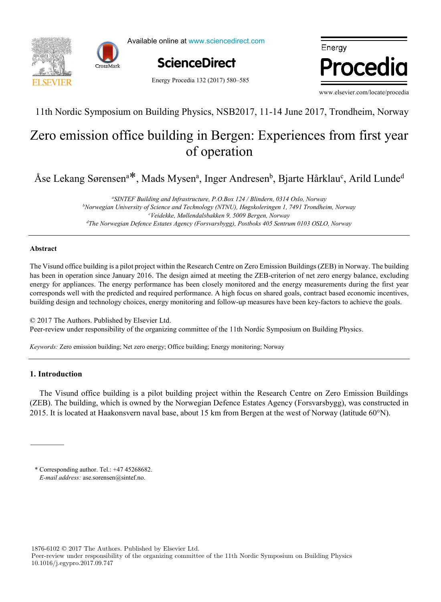

Available online at www.sciencedirect.com



Energy Procedia 132 (2017) 580–585

Energy Procedia

www.elsevier.com/locate/procedia

11th Nordic Symposium on Building Physics, NSB2017, 11-14 June 2017, Trondheim, Norway

# of operation Zero emission office building in Bergen: Experiences from first year

Assessing the feasibility of using the heat demand-outdoor st Lekang berensen  $\theta$ , maas mysen $\theta$ , mger Andresen $\theta$ , Djarte Harkiau $\theta$ , Arna Lunae Åse Lekang Sørensen<sup>a\*</sup>, Mads Mysen<sup>a</sup>, Inger Andresen<sup>b</sup>, Bjarte Hårklau<sup>c</sup>, Arild Lunde<sup>d</sup>

<sup>b</sup>Norwegian University of Science and Technology (NTNU), Høgskoleringen 1, 7491 Trondheim, Norway<br><sup>6</sup>Voidelske, Mallandalshakken 0, 5000 Baycan, Norway <sup>d</sup>The Norwegian Defence Estates Agency (Forsvarsbygg), Postboks 405 Sentrum 0103 OSLO, Norway *a SINTEF Building and Infrastructure, P.O.Box 124 / Blindern, 0314 Oslo, Norway c Veidekke, Møllendalsbakken 9, 5009 Bergen, Norway*

*Veolia Recherche & Innovation, 291 Avenue Dreyfous Daniel, 78520 Limay, France*

## **Abstract**

**Abstract** has been in operation since January 2016. The design aimed at meeting the ZEB-criterion of net zero energy balance, excluding corresponds well with the predicted and required performance. A high focus on shared goals, contract based economic incentives, building design and technology choices, energy monitoring and follow-up measures have been key-factors to achieve the goals. The Visund office building is a pilot project within the Research Centre on Zero Emission Buildings (ZEB) in Norway. The building energy for appliances. The energy performance has been closely monitored and the energy measurements during the first year

© 2017 The Authors. Published by Elsevier Ltd. Peer-review under responsibility of the organizing committee of the 11th Nordic Symposium on Building Physics.

Keywords: Zero emission building; Net zero energy; Office building; Energy monitoring; Norway

## The results showed that when only weather change is considered, the margin of error could be acceptable for some applications **1. Introduction**

The Visund office building is a pilot building project within the Research Centre on Zero Emission Buildings (ZEB). The building, which is owned by the Norwegian Defence Estates Agency (Forsvarsbygg), was constructed in 015. It is located at Haakonsvern naval hase, about 15 km from Bergen at the west of Norway (latitude 60°N) 2015. It is located at Haakonsvern naval base, about 15 km from Bergen at the west of Norway (latitude 60°N).

renovation scenarios were developed (shallow, intermediate, deep). To estimate the error, obtained heat demand values were

Peer-review under responsibility of the Scientific Committee of The 15th International Symposium on District Heating and \* Corresponding author. Tel.:  $+4745268682$ . *E-mail address:* ase.sorensen@sintef.no.

1876-6102 © 2017 The Authors. Published by Elsevier Ltd.

Peer-review under responsibility of the organizing committee of the 11th Nordic Symposium on Building Physics 10.1016/j.egypro.2017.09.747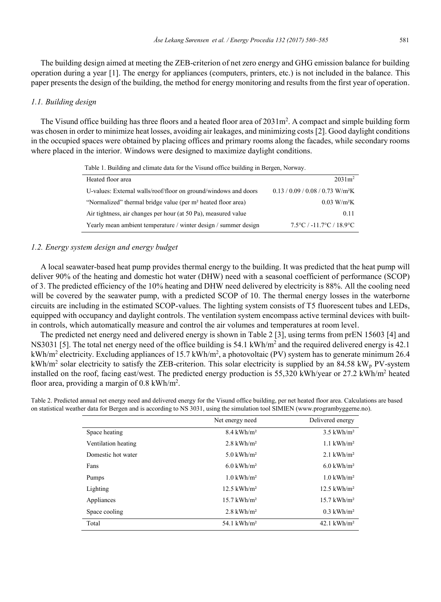The building design aimed at meeting the ZEB-criterion of net zero energy and GHG emission balance for building operation during a year [1]. The energy for appliances (computers, printers, etc.) is not included in the balance. This paper presents the design of the building, the method for energy monitoring and results from the first year of operation.

#### *1.1. Building design*

The Visund office building has three floors and a heated floor area of  $2031 \text{m}^2$ . A compact and simple building form was chosen in order to minimize heat losses, avoiding air leakages, and minimizing costs [2]. Good daylight conditions in the occupied spaces were obtained by placing offices and primary rooms along the facades, while secondary rooms where placed in the interior. Windows were designed to maximize daylight conditions.

| Table 1. Building and climate data for the Visund office building in Bergen, Norway. |                                                |  |
|--------------------------------------------------------------------------------------|------------------------------------------------|--|
| Heated floor area                                                                    | $2031 \text{ m}^2$                             |  |
| U-values: External walls/roof/floor on ground/windows and doors                      | $0.13 / 0.09 / 0.08 / 0.73$ W/m <sup>2</sup> K |  |
| "Normalized" thermal bridge value (per m <sup>2</sup> heated floor area)             | $0.03$ W/m <sup>2</sup> K                      |  |
| Air tightness, air changes per hour (at 50 Pa), measured value                       | 0.11                                           |  |
| Yearly mean ambient temperature / winter design / summer design                      | $7.5^{\circ}$ C / -11.7°C / 18.9°C             |  |

### *1.2. Energy system design and energy budget*

A local seawater-based heat pump provides thermal energy to the building. It was predicted that the heat pump will deliver 90% of the heating and domestic hot water (DHW) need with a seasonal coefficient of performance (SCOP) of 3. The predicted efficiency of the 10% heating and DHW need delivered by electricity is 88%. All the cooling need will be covered by the seawater pump, with a predicted SCOP of 10. The thermal energy losses in the waterborne circuits are including in the estimated SCOP-values. The lighting system consists of T5 fluorescent tubes and LEDs, equipped with occupancy and daylight controls. The ventilation system encompass active terminal devices with builtin controls, which automatically measure and control the air volumes and temperatures at room level.

The predicted net energy need and delivered energy is shown in Table 2 [3], using terms from prEN 15603 [4] and NS3031 [5]. The total net energy need of the office building is  $54.1 \text{ kWh/m}^2$  and the required delivered energy is  $42.1 \text{ kW/m}^2$ kWh/m<sup>2</sup> electricity. Excluding appliances of 15.7 kWh/m<sup>2</sup>, a photovoltaic (PV) system has to generate minimum 26.4 kWh/m<sup>2</sup> solar electricity to satisfy the ZEB-criterion. This solar electricity is supplied by an 84.58 kW<sub>p</sub> PV-system installed on the roof, facing east/west. The predicted energy production is 55,320 kWh/year or 27.2 kWh/m<sup>2</sup> heated floor area, providing a margin of 0.8 kWh/m<sup>2</sup>.

Table 2. Predicted annual net energy need and delivered energy for the Visund office building, per net heated floor area. Calculations are based on statistical weather data for Bergen and is according to NS 3031, using the simulation tool SIMIEN (www.programbyggerne.no).

|                     | Net energy need           | Delivered energy          |
|---------------------|---------------------------|---------------------------|
| Space heating       | $8.4$ kWh/m <sup>2</sup>  | $3.5$ kWh/m <sup>2</sup>  |
| Ventilation heating | $2.8$ kWh/m <sup>2</sup>  | $1.1 \text{ kWh/m}^2$     |
| Domestic hot water  | 5.0 kWh/ $m^2$            | 2.1 kWh/ $m^2$            |
| Fans                | $6.0 \text{ kWh/m}^2$     | $6.0 \text{ kWh/m}^2$     |
| Pumps               | $1.0$ kWh/m <sup>2</sup>  | $1.0$ kWh/m <sup>2</sup>  |
| Lighting            | $12.5 \text{ kWh/m}^2$    | $12.5 \text{ kWh/m}^2$    |
| Appliances          | $15.7$ kWh/m <sup>2</sup> | $15.7$ kWh/m <sup>2</sup> |
| Space cooling       | $2.8$ kWh/m <sup>2</sup>  | $0.3$ kWh/m <sup>2</sup>  |
| Total               | 54.1 kWh/ $m2$            | $42.1$ kWh/m <sup>2</sup> |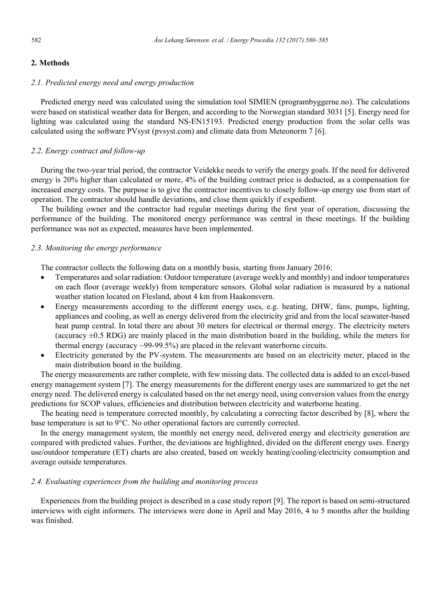## **2. Methods**

## *2.1. Predicted energy need and energy production*

Predicted energy need was calculated using the simulation tool SIMIEN (programbyggerne.no). The calculations were based on statistical weather data for Bergen, and according to the Norwegian standard 3031 [5]. Energy need for lighting was calculated using the standard NS-EN15193. Predicted energy production from the solar cells was calculated using the software PVsyst (pvsyst.com) and climate data from Meteonorm 7 [6].

## *2.2. Energy contract and follow-up*

During the two-year trial period, the contractor Veidekke needs to verify the energy goals. If the need for delivered energy is 20% higher than calculated or more, 4% of the building contract price is deducted, as a compensation for increased energy costs. The purpose is to give the contractor incentives to closely follow-up energy use from start of operation. The contractor should handle deviations, and close them quickly if expedient.

The building owner and the contractor had regular meetings during the first year of operation, discussing the performance of the building. The monitored energy performance was central in these meetings. If the building performance was not as expected, measures have been implemented.

## *2.3. Monitoring the energy performance*

The contractor collects the following data on a monthly basis, starting from January 2016:

- Temperatures and solar radiation: Outdoor temperature (average weekly and monthly) and indoor temperatures on each floor (average weekly) from temperature sensors. Global solar radiation is measured by a national weather station located on Flesland, about 4 km from Haakonsvern.
- Energy measurements according to the different energy uses, e.g. heating, DHW, fans, pumps, lighting, appliances and cooling, as well as energy delivered from the electricity grid and from the local seawater-based heat pump central. In total there are about 30 meters for electrical or thermal energy. The electricity meters (accuracy  $\pm 0.5$  RDG) are mainly placed in the main distribution board in the building, while the meters for thermal energy (accuracy ~99-99.5%) are placed in the relevant waterborne circuits.
- Electricity generated by the PV-system. The measurements are based on an electricity meter, placed in the main distribution board in the building.

The energy measurements are rather complete, with few missing data. The collected data is added to an excel-based energy management system [7]. The energy measurements for the different energy uses are summarized to get the net energy need. The delivered energy is calculated based on the net energy need, using conversion values from the energy predictions for SCOP values, efficiencies and distribution between electricity and waterborne heating.

The heating need is temperature corrected monthly, by calculating a correcting factor described by [8], where the base temperature is set to 9°C. No other operational factors are currently corrected.

In the energy management system, the monthly net energy need, delivered energy and electricity generation are compared with predicted values. Further, the deviations are highlighted, divided on the different energy uses. Energy use/outdoor temperature (ET) charts are also created, based on weekly heating/cooling/electricity consumption and average outside temperatures.

## *2.4. Evaluating experiences from the building and monitoring process*

Experiences from the building project is described in a case study report [9]. The report is based on semi-structured interviews with eight informers. The interviews were done in April and May 2016, 4 to 5 months after the building was finished.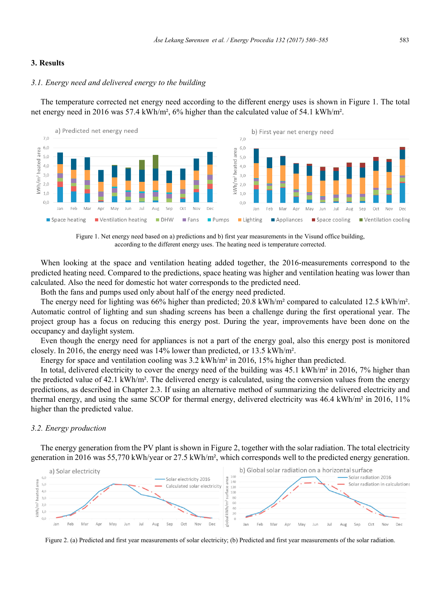## **3. Results**

## *3.1. Energy need and delivered energy to the building*

The temperature corrected net energy need according to the different energy uses is shown in Figure 1. The total net energy need in 2016 was 57.4 kWh/m<sup>2</sup>, 6% higher than the calculated value of 54.1 kWh/m<sup>2</sup>.



Figure 1. Net energy need based on a) predictions and b) first year measurements in the Visund office building, according to the different energy uses. The heating need is temperature corrected.

When looking at the space and ventilation heating added together, the 2016-measurements correspond to the predicted heating need. Compared to the predictions, space heating was higher and ventilation heating was lower than calculated. Also the need for domestic hot water corresponds to the predicted need.

Both the fans and pumps used only about half of the energy need predicted.

The energy need for lighting was 66% higher than predicted; 20.8 kWh/m² compared to calculated 12.5 kWh/m². Automatic control of lighting and sun shading screens has been a challenge during the first operational year. The project group has a focus on reducing this energy post. During the year, improvements have been done on the occupancy and daylight system.

Even though the energy need for appliances is not a part of the energy goal, also this energy post is monitored closely. In 2016, the energy need was 14% lower than predicted, or 13.5 kWh/m².

Energy for space and ventilation cooling was  $3.2 \text{ kWh/m}^2$  in 2016, 15% higher than predicted.

In total, delivered electricity to cover the energy need of the building was 45.1 kWh/m<sup>2</sup> in 2016, 7% higher than the predicted value of 42.1 kWh/m². The delivered energy is calculated, using the conversion values from the energy predictions, as described in Chapter 2.3. If using an alternative method of summarizing the delivered electricity and thermal energy, and using the same SCOP for thermal energy, delivered electricity was 46.4 kWh/m<sup>2</sup> in 2016, 11% higher than the predicted value.

#### *3.2. Energy production*

The energy generation from the PV plant is shown in Figure 2, together with the solar radiation. The total electricity generation in 2016 was 55,770 kWh/year or 27.5 kWh/m², which corresponds well to the predicted energy generation.



Figure 2. (a) Predicted and first year measurements of solar electricity; (b) Predicted and first year measurements of the solar radiation.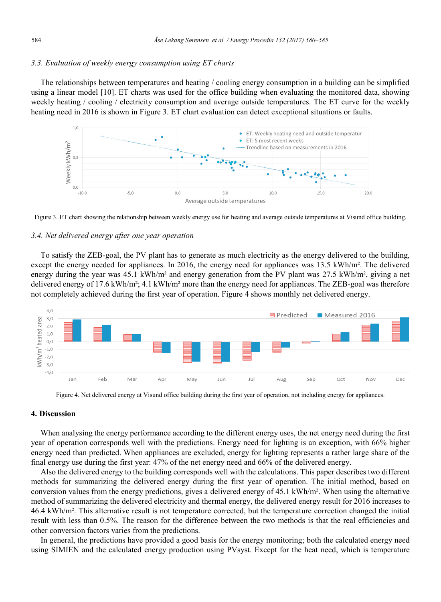## *3.3. Evaluation of weekly energy consumption using ET charts*

The relationships between temperatures and heating / cooling energy consumption in a building can be simplified using a linear model [10]. ET charts was used for the office building when evaluating the monitored data, showing weekly heating / cooling / electricity consumption and average outside temperatures. The ET curve for the weekly heating need in 2016 is shown in Figure 3. ET chart evaluation can detect exceptional situations or faults.





## *3.4. Net delivered energy after one year operation*

To satisfy the ZEB-goal, the PV plant has to generate as much electricity as the energy delivered to the building, except the energy needed for appliances. In 2016, the energy need for appliances was 13.5 kWh/m². The delivered energy during the year was 45.1 kWh/m<sup>2</sup> and energy generation from the PV plant was 27.5 kWh/m<sup>2</sup>, giving a net delivered energy of 17.6 kWh/m<sup>2</sup>; 4.1 kWh/m<sup>2</sup> more than the energy need for appliances. The ZEB-goal was therefore not completely achieved during the first year of operation. Figure 4 shows monthly net delivered energy.



Figure 4. Net delivered energy at Visund office building during the first year of operation, not including energy for appliances.

## **4. Discussion**

When analysing the energy performance according to the different energy uses, the net energy need during the first year of operation corresponds well with the predictions. Energy need for lighting is an exception, with 66% higher energy need than predicted. When appliances are excluded, energy for lighting represents a rather large share of the final energy use during the first year: 47% of the net energy need and 66% of the delivered energy.

Also the delivered energy to the building corresponds well with the calculations. This paper describes two different methods for summarizing the delivered energy during the first year of operation. The initial method, based on conversion values from the energy predictions, gives a delivered energy of 45.1 kWh/m². When using the alternative method of summarizing the delivered electricity and thermal energy, the delivered energy result for 2016 increases to 46.4 kWh/m². This alternative result is not temperature corrected, but the temperature correction changed the initial result with less than 0.5%. The reason for the difference between the two methods is that the real efficiencies and other conversion factors varies from the predictions.

In general, the predictions have provided a good basis for the energy monitoring; both the calculated energy need using SIMIEN and the calculated energy production using PVsyst. Except for the heat need, which is temperature